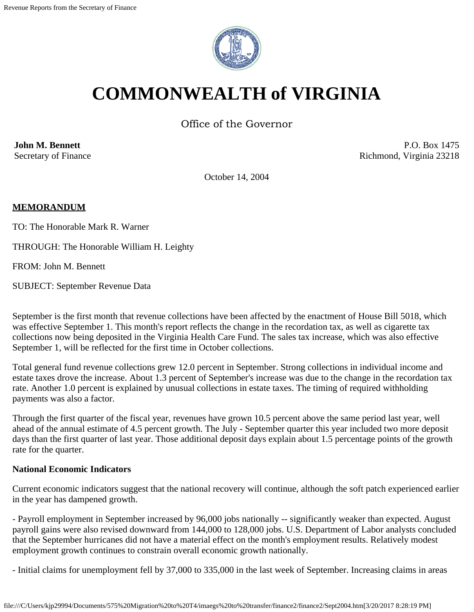

# **COMMONWEALTH of VIRGINIA**

Office of the Governor

**John M. Bennett** Secretary of Finance

P.O. Box 1475 Richmond, Virginia 23218

October 14, 2004

## **MEMORANDUM**

TO: The Honorable Mark R. Warner

THROUGH: The Honorable William H. Leighty

FROM: John M. Bennett

SUBJECT: September Revenue Data

September is the first month that revenue collections have been affected by the enactment of House Bill 5018, which was effective September 1. This month's report reflects the change in the recordation tax, as well as cigarette tax collections now being deposited in the Virginia Health Care Fund. The sales tax increase, which was also effective September 1, will be reflected for the first time in October collections.

Total general fund revenue collections grew 12.0 percent in September. Strong collections in individual income and estate taxes drove the increase. About 1.3 percent of September's increase was due to the change in the recordation tax rate. Another 1.0 percent is explained by unusual collections in estate taxes. The timing of required withholding payments was also a factor.

Through the first quarter of the fiscal year, revenues have grown 10.5 percent above the same period last year, well ahead of the annual estimate of 4.5 percent growth. The July - September quarter this year included two more deposit days than the first quarter of last year. Those additional deposit days explain about 1.5 percentage points of the growth rate for the quarter.

## **National Economic Indicators**

Current economic indicators suggest that the national recovery will continue, although the soft patch experienced earlier in the year has dampened growth.

- Payroll employment in September increased by 96,000 jobs nationally -- significantly weaker than expected. August payroll gains were also revised downward from 144,000 to 128,000 jobs. U.S. Department of Labor analysts concluded that the September hurricanes did not have a material effect on the month's employment results. Relatively modest employment growth continues to constrain overall economic growth nationally.

- Initial claims for unemployment fell by 37,000 to 335,000 in the last week of September. Increasing claims in areas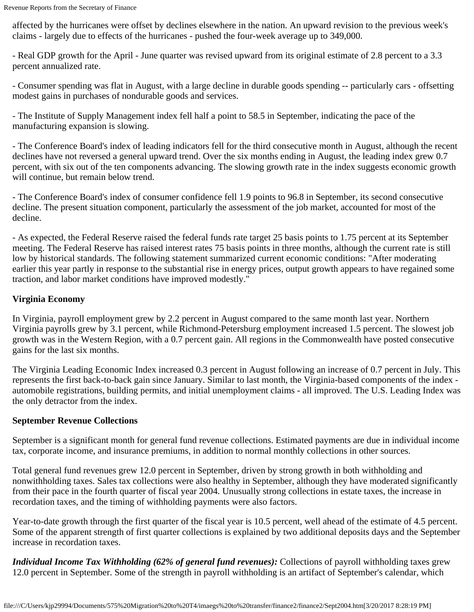affected by the hurricanes were offset by declines elsewhere in the nation. An upward revision to the previous week's claims - largely due to effects of the hurricanes - pushed the four-week average up to 349,000.

- Real GDP growth for the April - June quarter was revised upward from its original estimate of 2.8 percent to a 3.3 percent annualized rate.

- Consumer spending was flat in August, with a large decline in durable goods spending -- particularly cars - offsetting modest gains in purchases of nondurable goods and services.

- The Institute of Supply Management index fell half a point to 58.5 in September, indicating the pace of the manufacturing expansion is slowing.

- The Conference Board's index of leading indicators fell for the third consecutive month in August, although the recent declines have not reversed a general upward trend. Over the six months ending in August, the leading index grew 0.7 percent, with six out of the ten components advancing. The slowing growth rate in the index suggests economic growth will continue, but remain below trend.

- The Conference Board's index of consumer confidence fell 1.9 points to 96.8 in September, its second consecutive decline. The present situation component, particularly the assessment of the job market, accounted for most of the decline.

- As expected, the Federal Reserve raised the federal funds rate target 25 basis points to 1.75 percent at its September meeting. The Federal Reserve has raised interest rates 75 basis points in three months, although the current rate is still low by historical standards. The following statement summarized current economic conditions: "After moderating earlier this year partly in response to the substantial rise in energy prices, output growth appears to have regained some traction, and labor market conditions have improved modestly."

## **Virginia Economy**

In Virginia, payroll employment grew by 2.2 percent in August compared to the same month last year. Northern Virginia payrolls grew by 3.1 percent, while Richmond-Petersburg employment increased 1.5 percent. The slowest job growth was in the Western Region, with a 0.7 percent gain. All regions in the Commonwealth have posted consecutive gains for the last six months.

The Virginia Leading Economic Index increased 0.3 percent in August following an increase of 0.7 percent in July. This represents the first back-to-back gain since January. Similar to last month, the Virginia-based components of the index automobile registrations, building permits, and initial unemployment claims - all improved. The U.S. Leading Index was the only detractor from the index.

## **September Revenue Collections**

September is a significant month for general fund revenue collections. Estimated payments are due in individual income tax, corporate income, and insurance premiums, in addition to normal monthly collections in other sources.

Total general fund revenues grew 12.0 percent in September, driven by strong growth in both withholding and nonwithholding taxes. Sales tax collections were also healthy in September, although they have moderated significantly from their pace in the fourth quarter of fiscal year 2004. Unusually strong collections in estate taxes, the increase in recordation taxes, and the timing of withholding payments were also factors.

Year-to-date growth through the first quarter of the fiscal year is 10.5 percent, well ahead of the estimate of 4.5 percent. Some of the apparent strength of first quarter collections is explained by two additional deposits days and the September increase in recordation taxes.

*Individual Income Tax Withholding (62% of general fund revenues):* Collections of payroll withholding taxes grew 12.0 percent in September. Some of the strength in payroll withholding is an artifact of September's calendar, which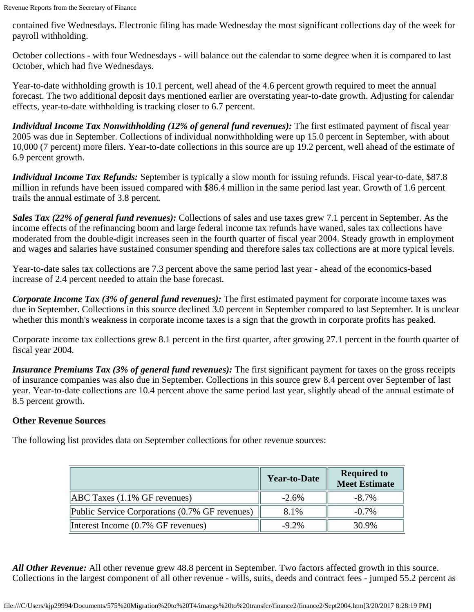contained five Wednesdays. Electronic filing has made Wednesday the most significant collections day of the week for payroll withholding.

October collections - with four Wednesdays - will balance out the calendar to some degree when it is compared to last October, which had five Wednesdays.

Year-to-date withholding growth is 10.1 percent, well ahead of the 4.6 percent growth required to meet the annual forecast. The two additional deposit days mentioned earlier are overstating year-to-date growth. Adjusting for calendar effects, year-to-date withholding is tracking closer to 6.7 percent.

*Individual Income Tax Nonwithholding (12% of general fund revenues):* The first estimated payment of fiscal year 2005 was due in September. Collections of individual nonwithholding were up 15.0 percent in September, with about 10,000 (7 percent) more filers. Year-to-date collections in this source are up 19.2 percent, well ahead of the estimate of 6.9 percent growth.

*Individual Income Tax Refunds:* September is typically a slow month for issuing refunds. Fiscal year-to-date, \$87.8 million in refunds have been issued compared with \$86.4 million in the same period last year. Growth of 1.6 percent trails the annual estimate of 3.8 percent.

*Sales Tax (22% of general fund revenues):* Collections of sales and use taxes grew 7.1 percent in September. As the income effects of the refinancing boom and large federal income tax refunds have waned, sales tax collections have moderated from the double-digit increases seen in the fourth quarter of fiscal year 2004. Steady growth in employment and wages and salaries have sustained consumer spending and therefore sales tax collections are at more typical levels.

Year-to-date sales tax collections are 7.3 percent above the same period last year - ahead of the economics-based increase of 2.4 percent needed to attain the base forecast.

*Corporate Income Tax (3% of general fund revenues):* The first estimated payment for corporate income taxes was due in September. Collections in this source declined 3.0 percent in September compared to last September. It is unclear whether this month's weakness in corporate income taxes is a sign that the growth in corporate profits has peaked.

Corporate income tax collections grew 8.1 percent in the first quarter, after growing 27.1 percent in the fourth quarter of fiscal year 2004.

*Insurance Premiums Tax (3% of general fund revenues):* The first significant payment for taxes on the gross receipts of insurance companies was also due in September. Collections in this source grew 8.4 percent over September of last year. Year-to-date collections are 10.4 percent above the same period last year, slightly ahead of the annual estimate of 8.5 percent growth.

## **Other Revenue Sources**

The following list provides data on September collections for other revenue sources:

|                                                | <b>Year-to-Date</b> | <b>Required to</b><br><b>Meet Estimate</b> |
|------------------------------------------------|---------------------|--------------------------------------------|
| $[ABC$ Taxes $(1.1\%$ GF revenues)             | $-2.6\%$            | $-8.7\%$                                   |
| Public Service Corporations (0.7% GF revenues) | 8.1%                | $-0.7\%$                                   |
| Interest Income (0.7% GF revenues)             | $-9.2\%$            | 30.9%                                      |

*All Other Revenue:* All other revenue grew 48.8 percent in September. Two factors affected growth in this source. Collections in the largest component of all other revenue - wills, suits, deeds and contract fees - jumped 55.2 percent as